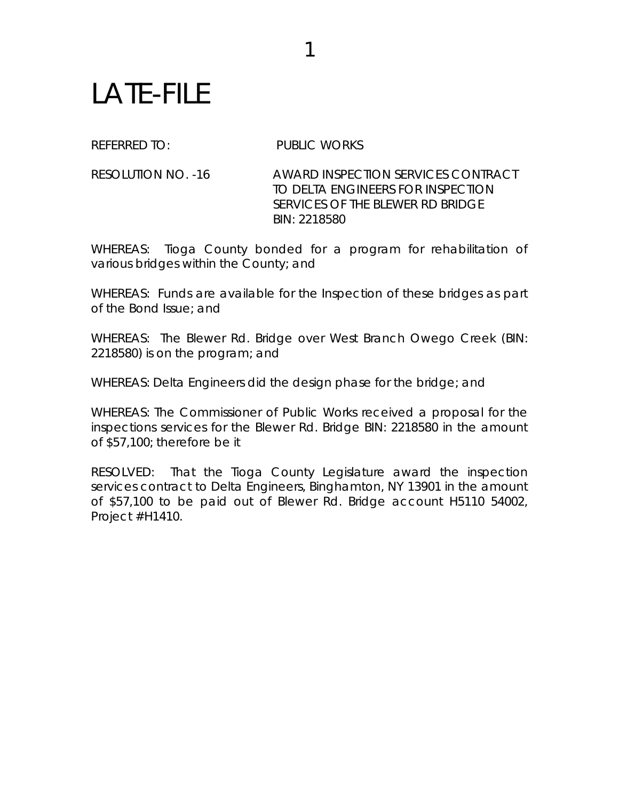## LATE-FILE

REFERRED TO: PUBLIC WORKS

1

RESOLUTION NO. -16 AWARD INSPECTION SERVICES CONTRACT TO DELTA ENGINEERS FOR INSPECTION SERVICES OF THE BLEWER RD BRIDGE BIN: 2218580

WHEREAS: Tioga County bonded for a program for rehabilitation of various bridges within the County; and

WHEREAS: Funds are available for the Inspection of these bridges as part of the Bond Issue; and

WHEREAS: The Blewer Rd. Bridge over West Branch Owego Creek (BIN: 2218580) is on the program; and

WHEREAS: Delta Engineers did the design phase for the bridge; and

WHEREAS: The Commissioner of Public Works received a proposal for the inspections services for the Blewer Rd. Bridge BIN: 2218580 in the amount of \$57,100; therefore be it

RESOLVED: That the Tioga County Legislature award the inspection services contract to Delta Engineers, Binghamton, NY 13901 in the amount of \$57,100 to be paid out of Blewer Rd. Bridge account H5110 54002, Project #H1410.